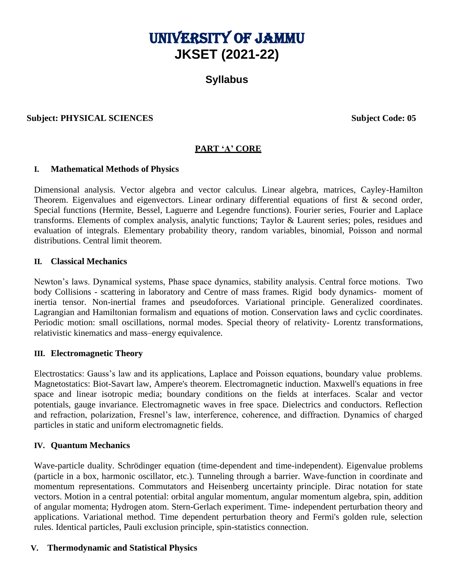# UNIVERSITY OF JAMMU **JKSET (2021-22)**

# **Syllabus**

## **Subject: PHYSICAL SCIENCES** Subject Code: 05

# **PART 'A' CORE**

#### **I. Mathematical Methods of Physics**

Dimensional analysis. Vector algebra and vector calculus. Linear algebra, matrices, Cayley-Hamilton Theorem. Eigenvalues and eigenvectors. Linear ordinary differential equations of first & second order, Special functions (Hermite, Bessel, Laguerre and Legendre functions). Fourier series, Fourier and Laplace transforms. Elements of complex analysis, analytic functions; Taylor & Laurent series; poles, residues and evaluation of integrals. Elementary probability theory, random variables, binomial, Poisson and normal distributions. Central limit theorem.

#### **II. Classical Mechanics**

Newton's laws. Dynamical systems, Phase space dynamics, stability analysis. Central force motions. Two body Collisions - scattering in laboratory and Centre of mass frames. Rigid body dynamics- moment of inertia tensor. Non-inertial frames and pseudoforces. Variational principle. Generalized coordinates. Lagrangian and Hamiltonian formalism and equations of motion. Conservation laws and cyclic coordinates. Periodic motion: small oscillations, normal modes. Special theory of relativity- Lorentz transformations, relativistic kinematics and mass–energy equivalence.

## **III. Electromagnetic Theory**

Electrostatics: Gauss's law and its applications, Laplace and Poisson equations, boundary value problems. Magnetostatics: Biot-Savart law, Ampere's theorem. Electromagnetic induction. Maxwell's equations in free space and linear isotropic media; boundary conditions on the fields at interfaces. Scalar and vector potentials, gauge invariance. Electromagnetic waves in free space. Dielectrics and conductors. Reflection and refraction, polarization, Fresnel's law, interference, coherence, and diffraction. Dynamics of charged particles in static and uniform electromagnetic fields.

## **IV. Quantum Mechanics**

Wave-particle duality. Schrödinger equation (time-dependent and time-independent). Eigenvalue problems (particle in a box, harmonic oscillator, etc.). Tunneling through a barrier. Wave-function in coordinate and momentum representations. Commutators and Heisenberg uncertainty principle. Dirac notation for state vectors. Motion in a central potential: orbital angular momentum, angular momentum algebra, spin, addition of angular momenta; Hydrogen atom. Stern-Gerlach experiment. Time- independent perturbation theory and applications. Variational method. Time dependent perturbation theory and Fermi's golden rule, selection rules. Identical particles, Pauli exclusion principle, spin-statistics connection.

## **V. Thermodynamic and Statistical Physics**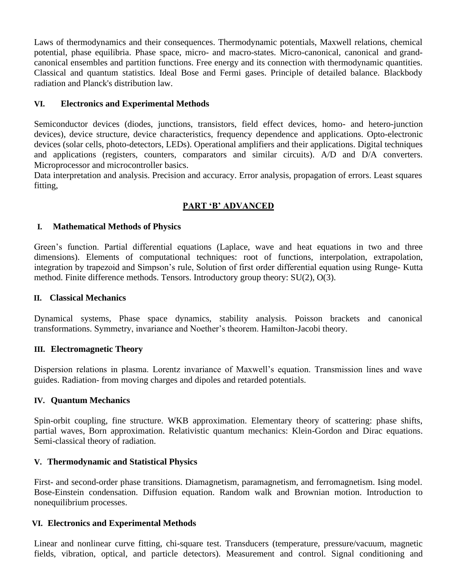Laws of thermodynamics and their consequences. Thermodynamic potentials, Maxwell relations, chemical potential, phase equilibria. Phase space, micro- and macro-states. Micro-canonical, canonical and grandcanonical ensembles and partition functions. Free energy and its connection with thermodynamic quantities. Classical and quantum statistics. Ideal Bose and Fermi gases. Principle of detailed balance. Blackbody radiation and Planck's distribution law.

## **VI. Electronics and Experimental Methods**

Semiconductor devices (diodes, junctions, transistors, field effect devices, homo- and hetero-junction devices), device structure, device characteristics, frequency dependence and applications. Opto-electronic devices (solar cells, photo-detectors, LEDs). Operational amplifiers and their applications. Digital techniques and applications (registers, counters, comparators and similar circuits). A/D and D/A converters. Microprocessor and microcontroller basics.

Data interpretation and analysis. Precision and accuracy. Error analysis, propagation of errors. Least squares fitting,

# **PART 'B' ADVANCED**

## **I. Mathematical Methods of Physics**

Green's function. Partial differential equations (Laplace, wave and heat equations in two and three dimensions). Elements of computational techniques: root of functions, interpolation, extrapolation, integration by trapezoid and Simpson's rule, Solution of first order differential equation using Runge- Kutta method. Finite difference methods. Tensors. Introductory group theory: SU(2), O(3).

## **II. Classical Mechanics**

Dynamical systems, Phase space dynamics, stability analysis. Poisson brackets and canonical transformations. Symmetry, invariance and Noether's theorem. Hamilton-Jacobi theory.

## **III. Electromagnetic Theory**

Dispersion relations in plasma. Lorentz invariance of Maxwell's equation. Transmission lines and wave guides. Radiation- from moving charges and dipoles and retarded potentials.

## **IV. Quantum Mechanics**

Spin-orbit coupling, fine structure. WKB approximation. Elementary theory of scattering: phase shifts, partial waves, Born approximation. Relativistic quantum mechanics: Klein-Gordon and Dirac equations. Semi-classical theory of radiation.

## **V. Thermodynamic and Statistical Physics**

First- and second-order phase transitions. Diamagnetism, paramagnetism, and ferromagnetism. Ising model. Bose-Einstein condensation. Diffusion equation. Random walk and Brownian motion. Introduction to nonequilibrium processes.

## **VI. Electronics and Experimental Methods**

Linear and nonlinear curve fitting, chi-square test. Transducers (temperature, pressure/vacuum, magnetic fields, vibration, optical, and particle detectors). Measurement and control. Signal conditioning and